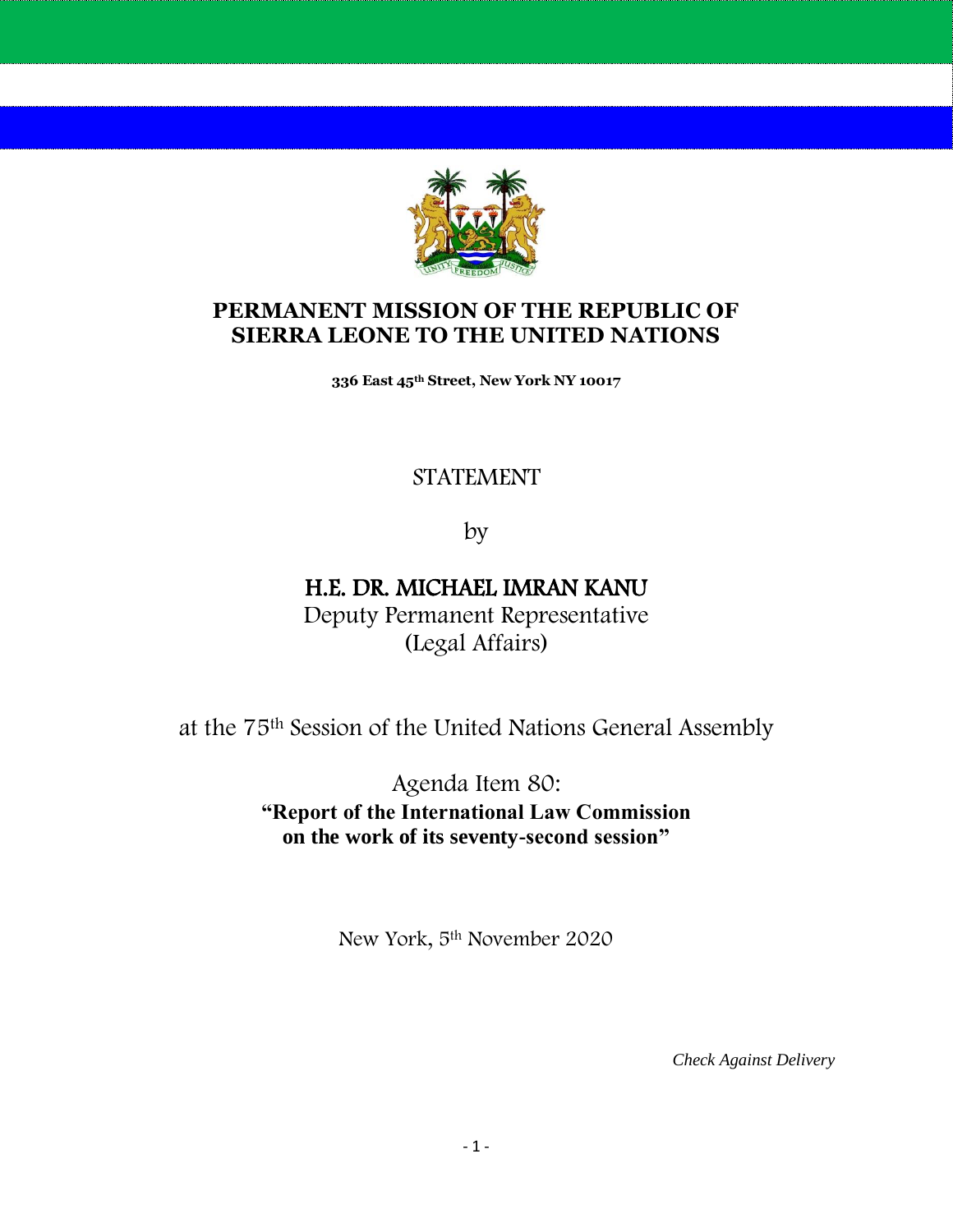

## **PERMANENT MISSION OF THE REPUBLIC OF SIERRA LEONE TO THE UNITED NATIONS**

**336 East 45th Street, New York NY 10017**

## STATEMENT

by

# H.E. DR. MICHAEL IMRAN KANU

Deputy Permanent Representative (Legal Affairs)

at the 75th Session of the United Nations General Assembly

Agenda Item 80: **"Report of the International Law Commission on the work of its seventy-second session"**

New York, 5th November 2020

*Check Against Delivery*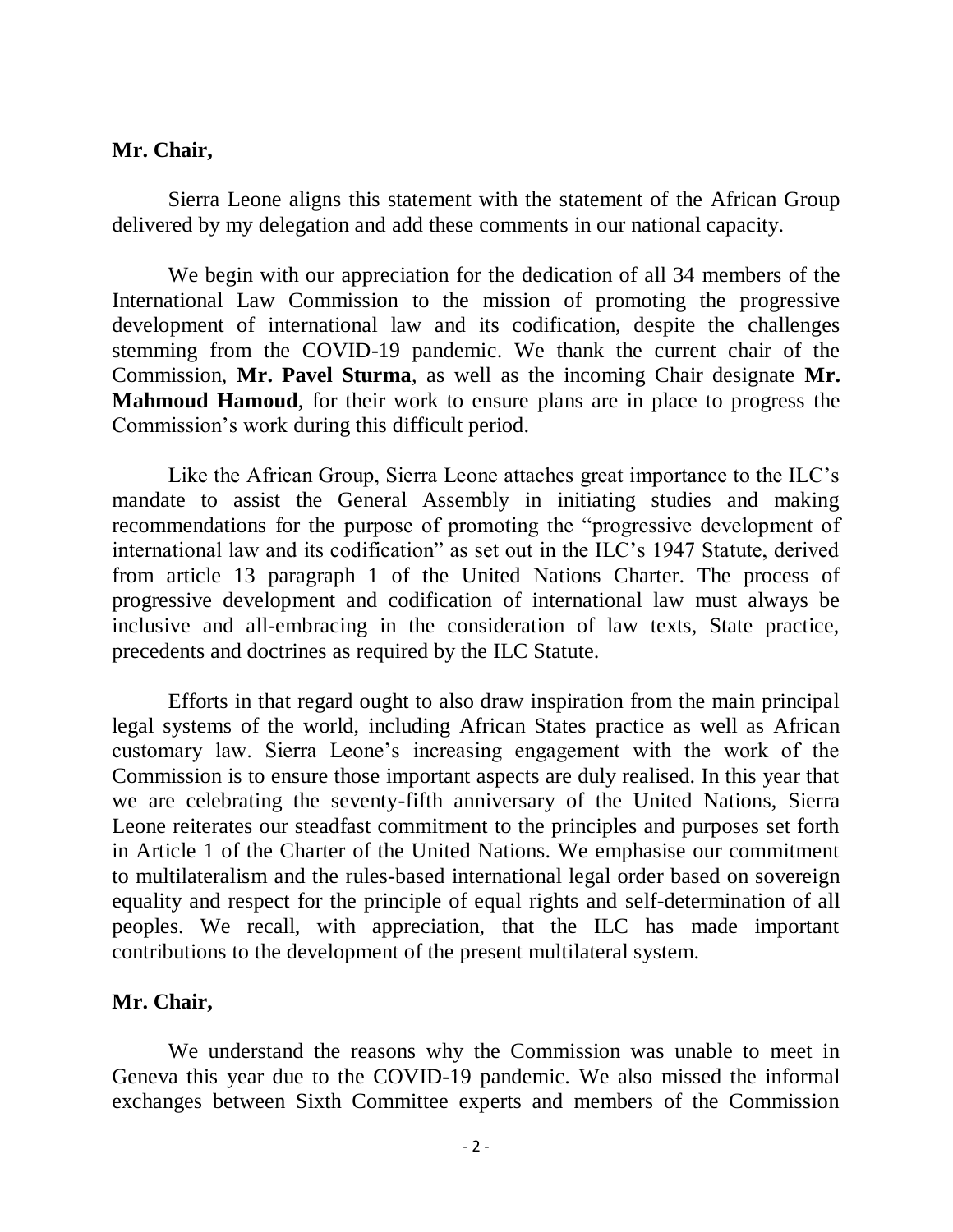#### **Mr. Chair,**

Sierra Leone aligns this statement with the statement of the African Group delivered by my delegation and add these comments in our national capacity.

We begin with our appreciation for the dedication of all 34 members of the International Law Commission to the mission of promoting the progressive development of international law and its codification, despite the challenges stemming from the COVID-19 pandemic. We thank the current chair of the Commission, **Mr. Pavel Sturma**, as well as the incoming Chair designate **Mr. Mahmoud Hamoud**, for their work to ensure plans are in place to progress the Commission's work during this difficult period.

Like the African Group, Sierra Leone attaches great importance to the ILC's mandate to assist the General Assembly in initiating studies and making recommendations for the purpose of promoting the "progressive development of international law and its codification" as set out in the ILC's 1947 Statute, derived from article 13 paragraph 1 of the United Nations Charter. The process of progressive development and codification of international law must always be inclusive and all-embracing in the consideration of law texts, State practice, precedents and doctrines as required by the ILC Statute.

Efforts in that regard ought to also draw inspiration from the main principal legal systems of the world, including African States practice as well as African customary law. Sierra Leone's increasing engagement with the work of the Commission is to ensure those important aspects are duly realised. In this year that we are celebrating the seventy-fifth anniversary of the United Nations, Sierra Leone reiterates our steadfast commitment to the principles and purposes set forth in Article 1 of the Charter of the United Nations. We emphasise our commitment to multilateralism and the rules-based international legal order based on sovereign equality and respect for the principle of equal rights and self-determination of all peoples. We recall, with appreciation, that the ILC has made important contributions to the development of the present multilateral system.

#### **Mr. Chair,**

We understand the reasons why the Commission was unable to meet in Geneva this year due to the COVID-19 pandemic. We also missed the informal exchanges between Sixth Committee experts and members of the Commission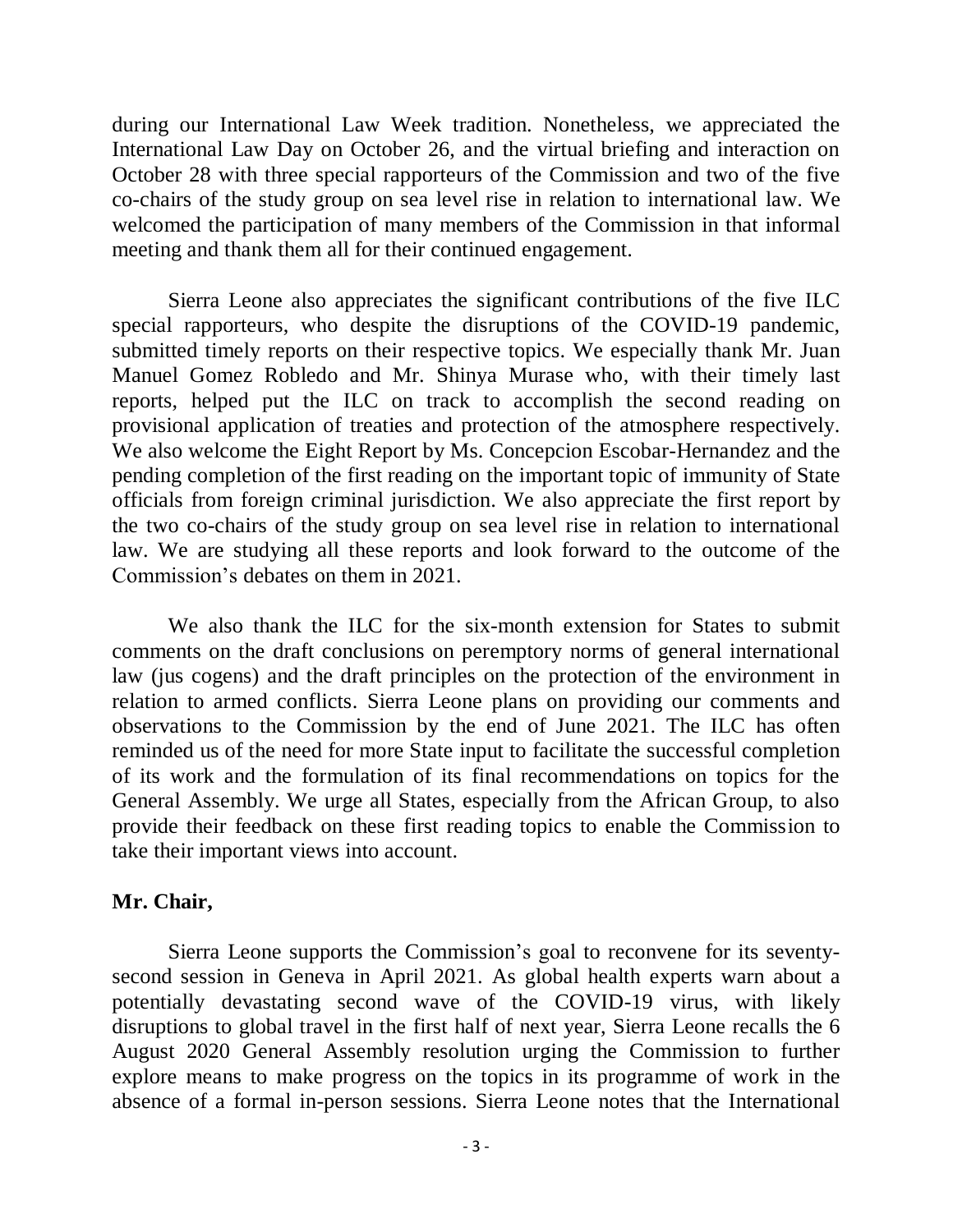during our International Law Week tradition. Nonetheless, we appreciated the International Law Day on October 26, and the virtual briefing and interaction on October 28 with three special rapporteurs of the Commission and two of the five co-chairs of the study group on sea level rise in relation to international law. We welcomed the participation of many members of the Commission in that informal meeting and thank them all for their continued engagement.

Sierra Leone also appreciates the significant contributions of the five ILC special rapporteurs, who despite the disruptions of the COVID-19 pandemic, submitted timely reports on their respective topics. We especially thank Mr. Juan Manuel Gomez Robledo and Mr. Shinya Murase who, with their timely last reports, helped put the ILC on track to accomplish the second reading on provisional application of treaties and protection of the atmosphere respectively. We also welcome the Eight Report by Ms. Concepcion Escobar-Hernandez and the pending completion of the first reading on the important topic of immunity of State officials from foreign criminal jurisdiction. We also appreciate the first report by the two co-chairs of the study group on sea level rise in relation to international law. We are studying all these reports and look forward to the outcome of the Commission's debates on them in 2021.

We also thank the ILC for the six-month extension for States to submit comments on the draft conclusions on peremptory norms of general international law (jus cogens) and the draft principles on the protection of the environment in relation to armed conflicts. Sierra Leone plans on providing our comments and observations to the Commission by the end of June 2021. The ILC has often reminded us of the need for more State input to facilitate the successful completion of its work and the formulation of its final recommendations on topics for the General Assembly. We urge all States, especially from the African Group, to also provide their feedback on these first reading topics to enable the Commission to take their important views into account.

#### **Mr. Chair,**

Sierra Leone supports the Commission's goal to reconvene for its seventysecond session in Geneva in April 2021. As global health experts warn about a potentially devastating second wave of the COVID-19 virus, with likely disruptions to global travel in the first half of next year, Sierra Leone recalls the 6 August 2020 General Assembly resolution urging the Commission to further explore means to make progress on the topics in its programme of work in the absence of a formal in-person sessions. Sierra Leone notes that the International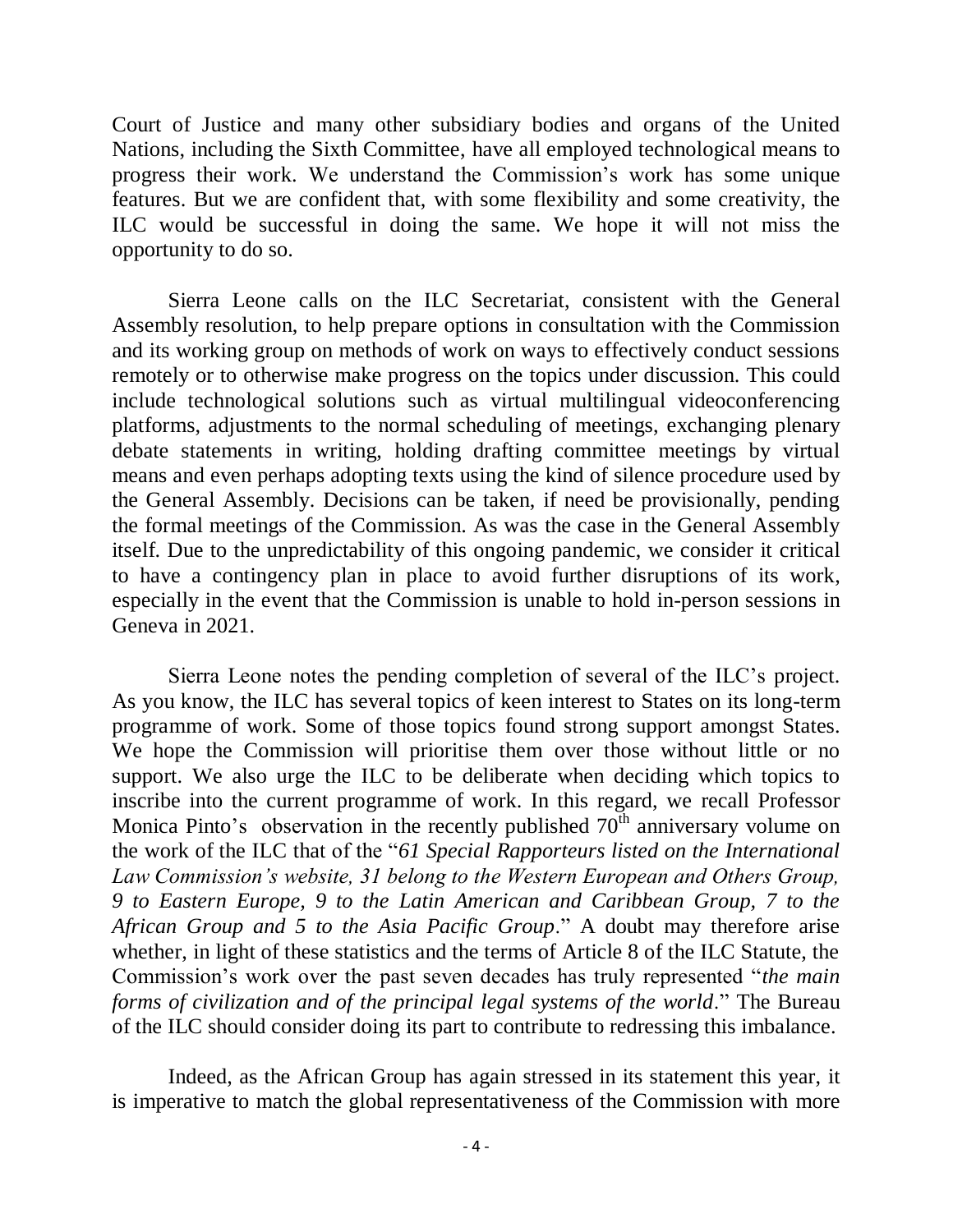Court of Justice and many other subsidiary bodies and organs of the United Nations, including the Sixth Committee, have all employed technological means to progress their work. We understand the Commission's work has some unique features. But we are confident that, with some flexibility and some creativity, the ILC would be successful in doing the same. We hope it will not miss the opportunity to do so.

Sierra Leone calls on the ILC Secretariat, consistent with the General Assembly resolution, to help prepare options in consultation with the Commission and its working group on methods of work on ways to effectively conduct sessions remotely or to otherwise make progress on the topics under discussion. This could include technological solutions such as virtual multilingual videoconferencing platforms, adjustments to the normal scheduling of meetings, exchanging plenary debate statements in writing, holding drafting committee meetings by virtual means and even perhaps adopting texts using the kind of silence procedure used by the General Assembly. Decisions can be taken, if need be provisionally, pending the formal meetings of the Commission. As was the case in the General Assembly itself. Due to the unpredictability of this ongoing pandemic, we consider it critical to have a contingency plan in place to avoid further disruptions of its work, especially in the event that the Commission is unable to hold in-person sessions in Geneva in 2021.

Sierra Leone notes the pending completion of several of the ILC's project. As you know, the ILC has several topics of keen interest to States on its long-term programme of work. Some of those topics found strong support amongst States. We hope the Commission will prioritise them over those without little or no support. We also urge the ILC to be deliberate when deciding which topics to inscribe into the current programme of work. In this regard, we recall Professor Monica Pinto's observation in the recently published  $70<sup>th</sup>$  anniversary volume on the work of the ILC that of the "*61 Special Rapporteurs listed on the International Law Commission's website, 31 belong to the Western European and Others Group, 9 to Eastern Europe, 9 to the Latin American and Caribbean Group, 7 to the African Group and 5 to the Asia Pacific Group*." A doubt may therefore arise whether, in light of these statistics and the terms of Article 8 of the ILC Statute, the Commission's work over the past seven decades has truly represented "*the main forms of civilization and of the principal legal systems of the world*." The Bureau of the ILC should consider doing its part to contribute to redressing this imbalance.

Indeed, as the African Group has again stressed in its statement this year, it is imperative to match the global representativeness of the Commission with more